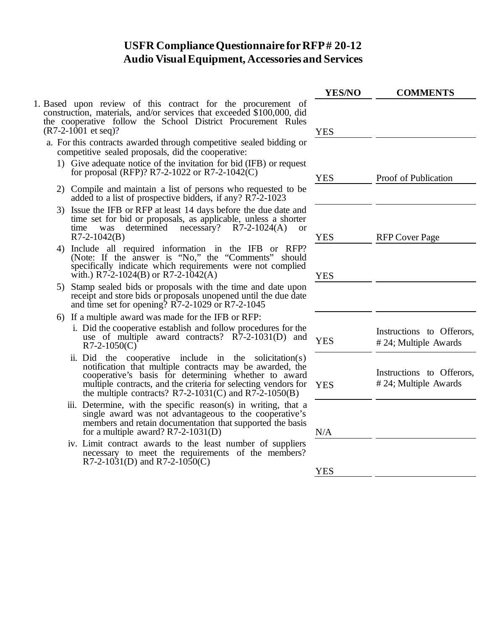## **USFR Compliance Questionnaire for RFP# 20-12 Audio Visual Equipment, Accessories and Services**

- 1. Based upon review of this contract for the procurement of construction, materials, and/or services that exceeded \$100,000, did the cooperative follow the School District Procurement Rules  $(R7-2-1001$  et seq)?
	- a. For this contracts awarded through competitive sealed bidding or competitive sealed proposals, did the cooperative:
		- 1) Give adequate notice of the invitation for bid (IFB) or request for proposal (RFP)? R7-2-1022 or R7-2-1042(C)
		- 2) Compile and maintain a list of persons who requested to be added to a list of prospective bidders, if any? R7-2-1023
		- 3) Issue the IFB or RFP at least 14 days before the due date and time set for bid or proposals, as applicable, unless a shorter time was determined necessary?  $R7-2-1024(A)$  $R7-2-1042(B)$
		- 4) Include all required information in the IFB or RFP? (Note: If the answer is "No," the "Comments" should specifically indicate which requirements were not complied with.) R7-2-1024(B) or R7-2-1042(A)
		- 5) Stamp sealed bids or proposals with the time and date upon receipt and store bids or proposals unopened until the due date and time set for opening? R7-2-1029 or R7-2-1045
		- 6) If a multiple award was made for the IFB or RFP:
			- i. Did the cooperative establish and follow procedures for the use of multiple award contracts?  $\angle R7$ -2-1031(D) and  $\angle YES$
			- ii. Did the cooperative include in the solicitation(s) notification that multiple contracts may be awarded, the cooperative's basis for determining whether to award multiple contracts, and the criteria for selecting vendors for the multiple contracts?  $R7-2-1031(C)$  and  $R7-2-1050(B)$
			- iii. Determine, with the specific reason(s) in writing, that a single award was not advantageous to the cooperative's members and retain documentation that supported the basis for a multiple award?  $R7-2-1031(D)$
			- iv. Limit contract awards to the least number of suppliers necessary to meet the requirements of the members? R7-2-1031(D) and R7-2-1050(C)

| <b>YES/NO</b> | <b>COMMENTS</b>                                   |  |
|---------------|---------------------------------------------------|--|
| <b>YES</b>    |                                                   |  |
| <b>YES</b>    | Proof of Publication                              |  |
| <b>YES</b>    | <b>RFP Cover Page</b>                             |  |
| <b>YES</b>    |                                                   |  |
| <b>YES</b>    | Instructions to Offerors,<br>#24; Multiple Awards |  |
| <b>YES</b>    | Instructions to Offerors,<br>#24; Multiple Awards |  |
| N/A           |                                                   |  |
| <b>YES</b>    |                                                   |  |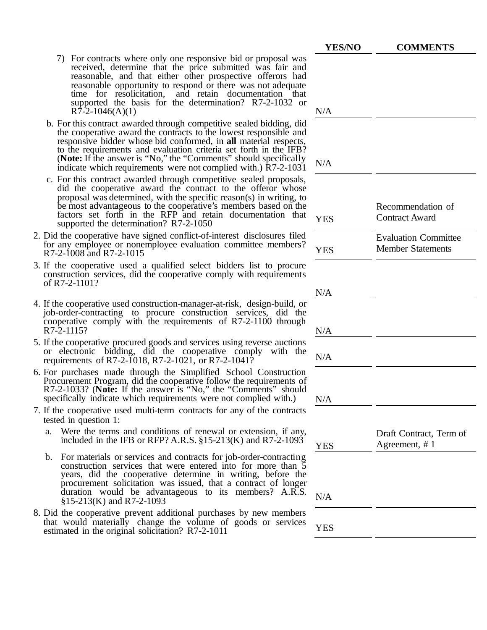- 7) For contracts where only one responsive bid or proposal was received, determine that the price submitted was fair and reasonable, and that either other prospective offerors had reasonable opportunity to respond or there was not adequate time for resolicitation, and retain documentation that supported the basis for the determination? R7-2-1032 or  $R\bar{7}$ -2-1046(A)(1)
- b. For this contract awarded through competitive sealed bidding, did the cooperative award the contracts to the lowest responsible and responsive bidder whose bid conformed, in **all** material respects, to the requirements and evaluation criteria set forth in the IFB? (**Note:** If the answer is "No," the "Comments" should specifically indicate which requirements were not complied with.)  $\overline{R}$ 7-2-1031
- c. For this contract awarded through competitive sealed proposals, did the cooperative award the contract to the offeror whose proposal was determined, with the specific reason(s) in writing, to be most advantageous to the cooperative's members based on the factors set forth in the RFP and retain documentation that supported the determination?  $R7-2-1050$
- 2. Did the cooperative have signed conflict-of-interest disclosures filed for any employee or nonemployee evaluation committee members?  $R7-2-1008$  and  $R7-2-1015$
- 3. If the cooperative used a qualified select bidders list to procure construction services, did the cooperative comply with requirements of R7-2-1101?
- 4. If the cooperative used construction-manager-at-risk, design-build, or job-order-contracting to procure construction services, did the cooperative comply with the requirements of R7-2-1100 through  $R7-2-1115?$
- 5. If the cooperative procured goods and services using reverse auctions or electronic bidding, did the cooperative comply with the requirements of R7-2-1018, R7-2-1021, or R7-2-1041?
- 6. For purchases made through the Simplified School Construction R7-2-1033? (Note: If the answer is "No," the "Comments" should specifically indicate which requirements were not complied with.)
- 7. If the cooperative used multi-term contracts for any of the contracts tested in question 1:
	- a. Were the terms and conditions of renewal or extension, if any, included in the IFB or RFP? A.R.S.  $\S15-213(K)$  and R7-2-1093
	- b. For materials or services and contracts for job-order-contracting construction services that were entered into for more than 5 years, did the cooperative determine in writing, before the procurement solicitation was issued, that a contract of longer duration would be advantageous to its members? A.R.S.  $N/A$  §15-213(K) and R7-2-1093
- 8. Did the cooperative prevent additional purchases by new members that would materially change the volume of goods or services estimated in the original solicitation?  $R7-2-1011$

| YES/NO     | <b>COMMENTS</b>                                         |
|------------|---------------------------------------------------------|
|            |                                                         |
| N/A        |                                                         |
| N/A        |                                                         |
| <b>YES</b> | Recommendation of<br><b>Contract Award</b>              |
| <b>YES</b> | <b>Evaluation Committee</b><br><b>Member Statements</b> |
| N/A        |                                                         |
| N/A        |                                                         |
| N/A        |                                                         |
| N/A        |                                                         |
| <b>YES</b> | Draft Contract, Term of<br>Agreement, #1                |
| N/A        |                                                         |
| <b>YES</b> |                                                         |